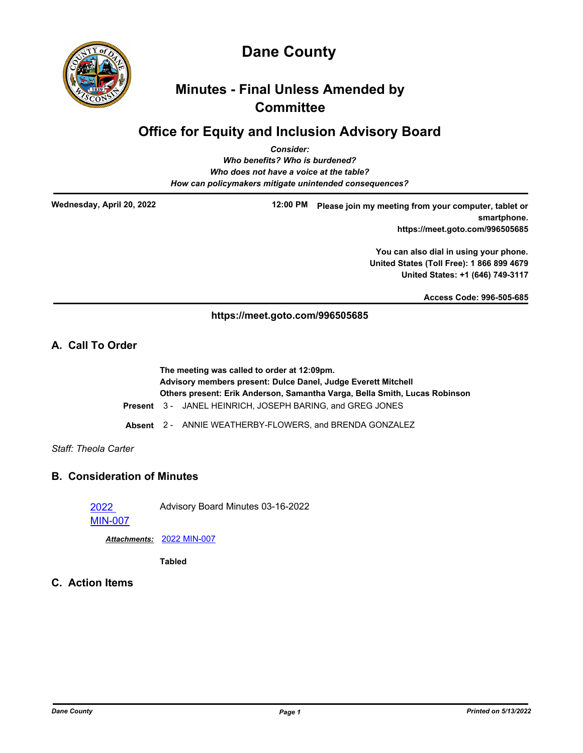

# **Dane County**

## **Minutes - Final Unless Amended by Committee**

## **Office for Equity and Inclusion Advisory Board**

| <b>Consider:</b>                                       |  |
|--------------------------------------------------------|--|
| Who benefits? Who is burdened?                         |  |
| Who does not have a voice at the table?                |  |
| How can policymakers mitigate unintended consequences? |  |
|                                                        |  |

**Wednesday, April 20, 2022**

**12:00 PM Please join my meeting from your computer, tablet or smartphone. https://meet.goto.com/996505685**

> **You can also dial in using your phone. United States (Toll Free): 1 866 899 4679 United States: +1 (646) 749-3117**

> > **Access Code: 996-505-685**

#### **https://meet.goto.com/996505685**

### **A. Call To Order**

**The meeting was called to order at 12:09pm. Advisory members present: Dulce Danel, Judge Everett Mitchell Others present: Erik Anderson, Samantha Varga, Bella Smith, Lucas Robinson Present** 3 - JANEL HEINRICH, JOSEPH BARING, and GREG JONES

- 
- **Absent** 2 ANNIE WEATHERBY-FLOWERS, and BRENDA GONZALEZ

#### *Staff: Theola Carter*

### **B. Consideration of Minutes**

2022

Advisory Board Minutes 03-16-2022

[MIN-007](http://dane.legistar.com/gateway.aspx?m=l&id=/matter.aspx?key=22706)

*Attachments:* [2022 MIN-007](http://dane.legistar.com/gateway.aspx?M=F&ID=acc818f4-4b92-47fd-a967-df1506092c2c.pdf)

**Tabled**

**C. Action Items**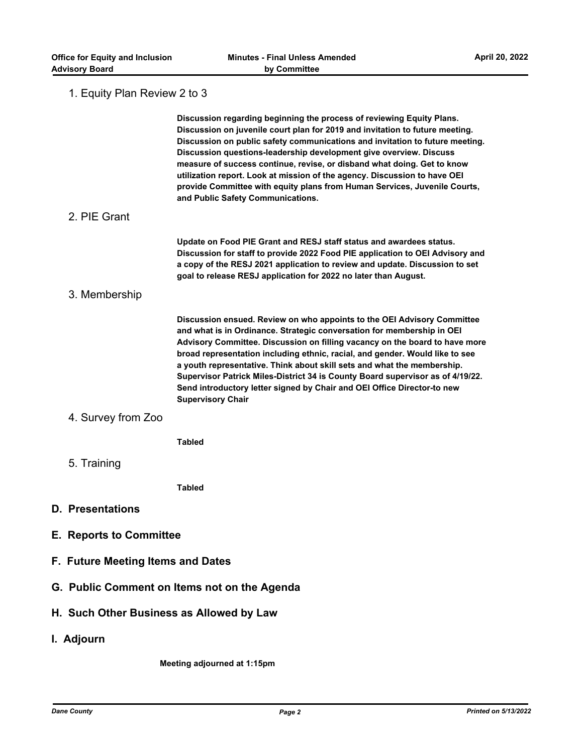### 1. Equity Plan Review 2 to 3

|                                          | Discussion regarding beginning the process of reviewing Equity Plans.<br>Discussion on juvenile court plan for 2019 and invitation to future meeting.<br>Discussion on public safety communications and invitation to future meeting.<br>Discussion questions-leadership development give overview. Discuss<br>measure of success continue, revise, or disband what doing. Get to know<br>utilization report. Look at mission of the agency. Discussion to have OEI<br>provide Committee with equity plans from Human Services, Juvenile Courts,<br>and Public Safety Communications. |  |
|------------------------------------------|---------------------------------------------------------------------------------------------------------------------------------------------------------------------------------------------------------------------------------------------------------------------------------------------------------------------------------------------------------------------------------------------------------------------------------------------------------------------------------------------------------------------------------------------------------------------------------------|--|
| 2. PIE Grant                             |                                                                                                                                                                                                                                                                                                                                                                                                                                                                                                                                                                                       |  |
|                                          | Update on Food PIE Grant and RESJ staff status and awardees status.<br>Discussion for staff to provide 2022 Food PIE application to OEI Advisory and<br>a copy of the RESJ 2021 application to review and update. Discussion to set<br>goal to release RESJ application for 2022 no later than August.                                                                                                                                                                                                                                                                                |  |
| 3. Membership                            |                                                                                                                                                                                                                                                                                                                                                                                                                                                                                                                                                                                       |  |
|                                          | Discussion ensued. Review on who appoints to the OEI Advisory Committee<br>and what is in Ordinance. Strategic conversation for membership in OEI<br>Advisory Committee. Discussion on filling vacancy on the board to have more<br>broad representation including ethnic, racial, and gender. Would like to see<br>a youth representative. Think about skill sets and what the membership.<br>Supervisor Patrick Miles-District 34 is County Board supervisor as of 4/19/22.<br>Send introductory letter signed by Chair and OEI Office Director-to new<br><b>Supervisory Chair</b>  |  |
| 4. Survey from Zoo                       |                                                                                                                                                                                                                                                                                                                                                                                                                                                                                                                                                                                       |  |
|                                          | <b>Tabled</b>                                                                                                                                                                                                                                                                                                                                                                                                                                                                                                                                                                         |  |
| 5. Training                              |                                                                                                                                                                                                                                                                                                                                                                                                                                                                                                                                                                                       |  |
|                                          | <b>Tabled</b>                                                                                                                                                                                                                                                                                                                                                                                                                                                                                                                                                                         |  |
| <b>D. Presentations</b>                  |                                                                                                                                                                                                                                                                                                                                                                                                                                                                                                                                                                                       |  |
| <b>E. Reports to Committee</b>           |                                                                                                                                                                                                                                                                                                                                                                                                                                                                                                                                                                                       |  |
|                                          | F. Future Meeting Items and Dates                                                                                                                                                                                                                                                                                                                                                                                                                                                                                                                                                     |  |
|                                          | G. Public Comment on Items not on the Agenda                                                                                                                                                                                                                                                                                                                                                                                                                                                                                                                                          |  |
| H. Such Other Business as Allowed by Law |                                                                                                                                                                                                                                                                                                                                                                                                                                                                                                                                                                                       |  |
| I. Adjourn                               |                                                                                                                                                                                                                                                                                                                                                                                                                                                                                                                                                                                       |  |
|                                          | Meeting adjourned at 1:15pm                                                                                                                                                                                                                                                                                                                                                                                                                                                                                                                                                           |  |